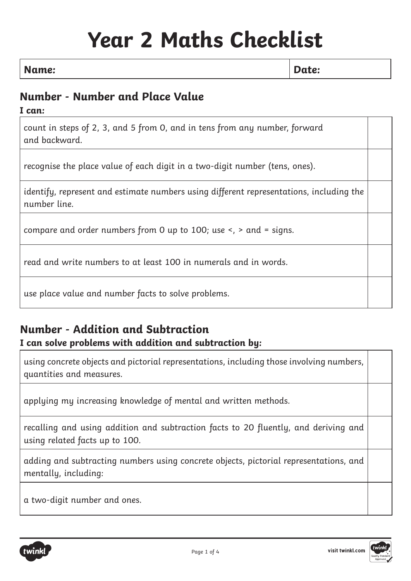# **Year 2 Maths Checklist**

#### **Name: Date:**

# **Number - Number and Place Value**

**I can:**

count in steps of 2, 3, and 5 from 0, and in tens from any number, forward and backward.

recognise the place value of each digit in a two-digit number (tens, ones).

identify, represent and estimate numbers using different representations, including the number line.

compare and order numbers from 0 up to 100; use <, > and = signs.

read and write numbers to at least 100 in numerals and in words.

use place value and number facts to solve problems.

# **Number - Addition and Subtraction**

#### **I can solve problems with addition and subtraction by:**

using concrete objects and pictorial representations, including those involving numbers, quantities and measures.

applying my increasing knowledge of mental and written methods.

recalling and using addition and subtraction facts to 20 fluently, and deriving and using related facts up to 100.

adding and subtracting numbers using concrete objects, pictorial representations, and mentally, including:

a two-digit number and ones.



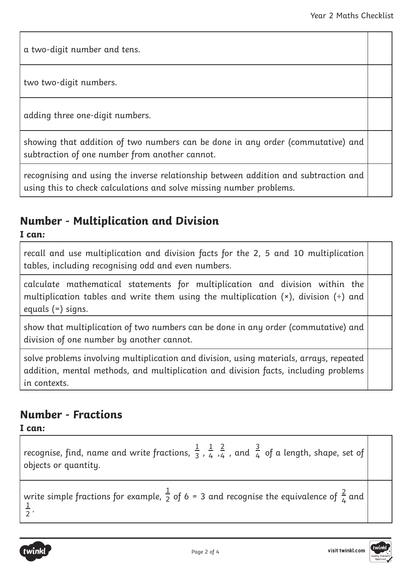a two-digit number and tens.

two two-digit numbers.

adding three one-digit numbers.

showing that addition of two numbers can be done in any order (commutative) and subtraction of one number from another cannot.

recognising and using the inverse relationship between addition and subtraction and using this to check calculations and solve missing number problems.

### **Number - Multiplication and Division**

**I can:**

recall and use multiplication and division facts for the 2, 5 and 10 multiplication tables, including recognising odd and even numbers.

calculate mathematical statements for multiplication and division within the multiplication tables and write them using the multiplication  $(*)$ , division  $(*)$  and equals (=) signs.

show that multiplication of two numbers can be done in any order (commutative) and division of one number by another cannot.

solve problems involving multiplication and division, using materials, arrays, repeated addition, mental methods, and multiplication and division facts, including problems in contexts.

#### **Number - Fractions**

**I can:**

recognise, find, name and write fractions,  $\frac{1}{3}$ ,  $\frac{1}{4}$ ,  $\frac{2}{4}$  , and  $\frac{3}{4}$  of a length, shape, set of objects or quantity. 3 1 4 2 4 3 4

write simple fractions for example,  $\frac{1}{2}$  of 6 = 3 and recognise the equivalence of  $\frac{2}{4}$  and  $\frac{1}{2}$ . 1 2 2 write simple fructions for example,  $2$  of  $0 - 3$  and recognise the equivalence of  $\frac{1}{4}$ 



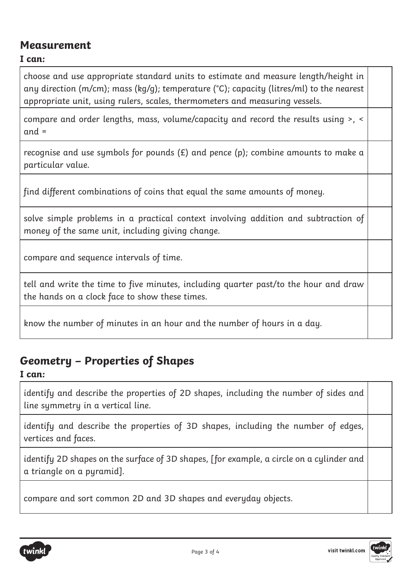#### **Measurement**

#### **I can:**

choose and use appropriate standard units to estimate and measure length/height in any direction (m/cm); mass (kg/g); temperature (°C); capacity (litres/ml) to the nearest appropriate unit, using rulers, scales, thermometers and measuring vessels.

compare and order lengths, mass, volume/capacity and record the results using >, < and =

recognise and use symbols for pounds  $(E)$  and pence  $(p)$ ; combine amounts to make a particular value.

find different combinations of coins that equal the same amounts of money.

solve simple problems in a practical context involving addition and subtraction of money of the same unit, including giving change.

compare and sequence intervals of time.

tell and write the time to five minutes, including quarter past/to the hour and draw the hands on a clock face to show these times.

know the number of minutes in an hour and the number of hours in a day.

#### **Geometry – Properties of Shapes**

**I can:**

identify and describe the properties of 2D shapes, including the number of sides and line symmetry in a vertical line.

identify and describe the properties of 3D shapes, including the number of edges, vertices and faces.

identify 2D shapes on the surface of 3D shapes, [for example, a circle on a cylinder and a triangle on a pyramid].

compare and sort common 2D and 3D shapes and everyday objects.